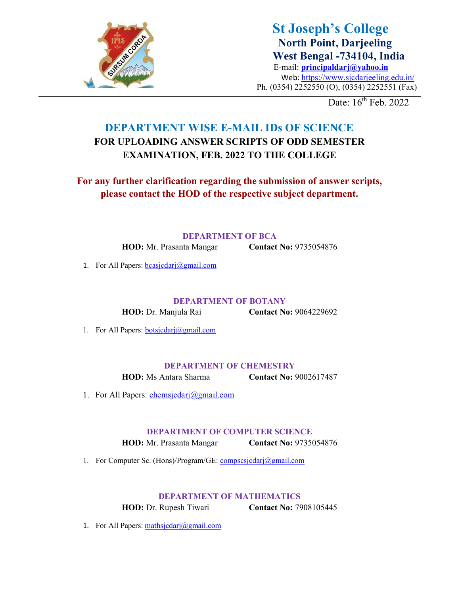

St Joseph's College North Point, Darjeeling West Bengal -734104, India E-mail: principaldarj@yahoo.in Web: https://www.sjcdarjeeling.edu.in/ Ph. (0354) 2252550 (O), (0354) 2252551 (Fax)

Date:  $16^{th}$  Feb. 2022

## DEPARTMENT WISE E-MAIL IDs OF SCIENCE FOR UPLOADING ANSWER SCRIPTS OF ODD SEMESTER EXAMINATION, FEB. 2022 TO THE COLLEGE

For any further clarification regarding the submission of answer scripts, please contact the HOD of the respective subject department.

DEPARTMENT OF BCA

HOD: Mr. Prasanta Mangar **Contact No: 9735054876** 

1. For All Papers:  $bcasjcdari@gmail.com$ 

DEPARTMENT OF BOTANY

HOD: Dr. Manjula Rai Contact No: 9064229692

1. For All Papers: **botsjcdarj@gmail.com** 

DEPARTMENT OF CHEMESTRY

HOD: Ms Antara Sharma Contact No: 9002617487

1. For All Papers: chemsjcdarj@gmail.com

DEPARTMENT OF COMPUTER SCIENCE

HOD: Mr. Prasanta Mangar **Contact No: 9735054876** 

1. For Computer Sc. (Hons)/Program/GE: compscsjcdarj@gmail.com

## DEPARTMENT OF MATHEMATICS

HOD: Dr. Rupesh Tiwari Contact No: 7908105445

1. For All Papers:  $\text{mathg}(\text{d} \text{partial})$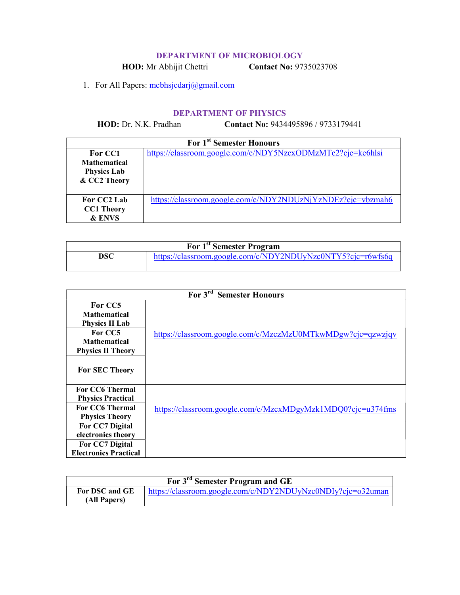## DEPARTMENT OF MICROBIOLOGY

HOD: Mr Abhijit Chettri Contact No: 9735023708

1. For All Papers: mcbhsjcdarj@gmail.com

## DEPARTMENT OF PHYSICS

HOD: Dr. N.K. Pradhan Contact No: 9434495896 / 9733179441

| For 1 <sup>st</sup> Semester Honours                                 |                                                             |  |
|----------------------------------------------------------------------|-------------------------------------------------------------|--|
| For CC1<br><b>Mathematical</b><br><b>Physics Lab</b><br>& CC2 Theory | https://classroom.google.com/c/NDY5NzcxODMzMTc2?cjc=ke6hlsi |  |
| For CC2 Lab<br><b>CC1 Theory</b><br>& ENVS                           | https://classroom.google.com/c/NDY2NDUzNjYzNDEz?cjc=vbzmah6 |  |

| For 1 <sup>st</sup> Semester Program |                                                             |  |
|--------------------------------------|-------------------------------------------------------------|--|
| DSC                                  | https://classroom.google.com/c/NDY2NDUyNzc0NTY5?cjc=r6wfs6q |  |

| For 3 <sup>rd</sup> Semester Honours                       |                                                             |  |
|------------------------------------------------------------|-------------------------------------------------------------|--|
| For CC5<br><b>Mathematical</b><br><b>Physics II Lab</b>    |                                                             |  |
| For CC5<br><b>Mathematical</b><br><b>Physics II Theory</b> | https://classroom.google.com/c/MzczMzU0MTkwMDgw?cjc=qzwzjqv |  |
| <b>For SEC Theory</b>                                      |                                                             |  |
| <b>For CC6 Thermal</b>                                     |                                                             |  |
| <b>Physics Practical</b><br><b>For CC6 Thermal</b>         |                                                             |  |
| <b>Physics Theory</b>                                      | https://classroom.google.com/c/MzcxMDgyMzk1MDQ0?cjc=u374fms |  |
| For CC7 Digital                                            |                                                             |  |
| electronics theory                                         |                                                             |  |
| For CC7 Digital                                            |                                                             |  |
| <b>Electronics Practical</b>                               |                                                             |  |

| For 3 <sup>rd</sup> Semester Program and GE |                                                             |  |
|---------------------------------------------|-------------------------------------------------------------|--|
| For DSC and GE                              | https://classroom.google.com/c/NDY2NDUyNzc0NDIy?cjc=032uman |  |
| (All Papers)                                |                                                             |  |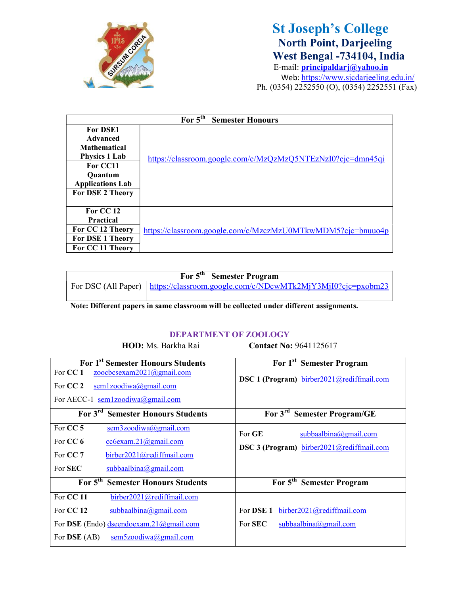

# St Joseph's College North Point, Darjeeling West Bengal -734104, India

E-mail: principaldarj@yahoo.in Web: https://www.sjcdarjeeling.edu.in/ Ph. (0354) 2252550 (O), (0354) 2252551 (Fax)

| For $5^{th}$<br><b>Semester Honours</b> |                                                             |  |
|-----------------------------------------|-------------------------------------------------------------|--|
| <b>For DSE1</b>                         |                                                             |  |
| Advanced                                |                                                             |  |
| <b>Mathematical</b>                     |                                                             |  |
| <b>Physics 1 Lab</b>                    | https://classroom.google.com/c/MzQzMzQ5NTEzNzI0?cjc=dmn45qi |  |
| For CC11                                |                                                             |  |
| <b>Ouantum</b>                          |                                                             |  |
| <b>Applications Lab</b>                 |                                                             |  |
| <b>For DSE 2 Theory</b>                 |                                                             |  |
|                                         |                                                             |  |
| For CC 12                               |                                                             |  |
| <b>Practical</b>                        |                                                             |  |
| For CC 12 Theory                        | https://classroom.google.com/c/MzczMzU0MTkwMDM5?cjc=bnuuo4p |  |
| <b>For DSE 1 Theory</b>                 |                                                             |  |
| For CC 11 Theory                        |                                                             |  |

| For 5 <sup>th</sup> Semester Program |                                                                                         |  |
|--------------------------------------|-----------------------------------------------------------------------------------------|--|
|                                      | For DSC (All Paper) $\vert$ https://classroom.google.com/c/NDcwMTk2MjY3MjI0?cjc=pxobm23 |  |
|                                      |                                                                                         |  |

Note: Different papers in same classroom will be collected under different assignments.

#### DEPARTMENT OF ZOOLOGY

HOD: Ms. Barkha Rai Contact No: 9641125617

| For 1 <sup>st</sup> Semester Honours Students                                                                   | For 1 <sup>st</sup> Semester Program      |
|-----------------------------------------------------------------------------------------------------------------|-------------------------------------------|
| For CC 1<br>zoocbcsexam2021@gmail.com<br>For $CC2$<br>sem1zoodiwa@gmail.com<br>For AECC-1 sem1zoodiwa@gmail.com | DSC 1 (Program) birber2021@rediffmail.com |
| For 3 <sup>rd</sup> Semester Honours Students                                                                   | For 3 <sup>rd</sup> Semester Program/GE   |
| For CC 5<br>sem3zoodiwa@gmail.com<br>For CC 6<br>$cc6$ exam.21@gmail.com                                        | For GE<br>subbaalbina@gmail.com           |
| For CC 7<br>birber2021@rediffmail.com                                                                           | DSC 3 (Program) birber2021@rediffmail.com |
| For <b>SEC</b><br>subbaalbina@gmail.com                                                                         |                                           |
| For 5 <sup>th</sup> Semester Honours Students                                                                   | For 5 <sup>th</sup> Semester Program      |
| For CC 11<br>birber2021@rediffmail.com                                                                          |                                           |
| For CC 12<br>subbaalbina@gmail.com                                                                              | For DSE 1<br>birber2021@rediffmail.com    |
| For DSE (Endo) dseendoexam.21@gmail.com                                                                         | For <b>SEC</b><br>subbaalbina@gmail.com   |
| For <b>DSE</b> (AB)<br>sem5zoodiwa@gmail.com                                                                    |                                           |